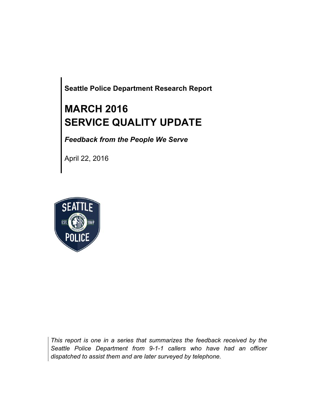**Seattle Police Department Research Report**

# **MARCH 2016 SERVICE QUALITY UPDATE**

*Feedback from the People We Serve*

April 22, 2016



*This report is one in a series that summarizes the feedback received by the Seattle Police Department from 9-1-1 callers who have had an officer dispatched to assist them and are later surveyed by telephone.*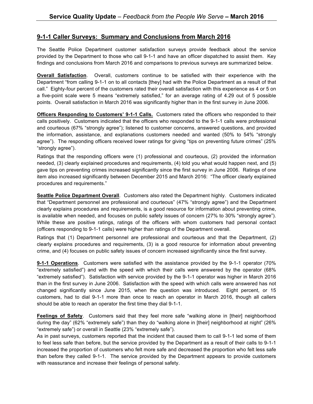### **9-1-1 Caller Surveys: Summary and Conclusions from March 2016**

The Seattle Police Department customer satisfaction surveys provide feedback about the service provided by the Department to those who call 9-1-1 and have an officer dispatched to assist them. Key findings and conclusions from March 2016 and comparisons to previous surveys are summarized below.

**Overall Satisfaction**. Overall, customers continue to be satisfied with their experience with the Department "from calling 9-1-1 on to all contacts [they] had with the Police Department as a result of that call." Eighty-four percent of the customers rated their overall satisfaction with this experience as 4 or 5 on a five-point scale were 5 means "extremely satisfied," for an average rating of 4.29 out of 5 possible points. Overall satisfaction in March 2016 was significantly higher than in the first survey in June 2006.

**Officers Responding to Customers' 9-1-1 Calls.** Customers rated the officers who responded to their calls positively. Customers indicated that the officers who responded to the 9-1-1 calls were professional and courteous (67% "strongly agree"); listened to customer concerns, answered questions, and provided the information, assistance, and explanations customers needed and wanted (50% to 54% "strongly agree"). The responding officers received lower ratings for giving "tips on preventing future crimes" (25% "strongly agree").

Ratings that the responding officers were (1) professional and courteous, (2) provided the information needed, (3) clearly explained procedures and requirements, (4) told you what would happen next, and (5) gave tips on preventing crimes increased significantly since the first survey in June 2006. Ratings of one item also increased significantly between December 2015 and March 2016: "The officer clearly explained procedures and requirements."

**Seattle Police Department Overall**. Customers also rated the Department highly. Customers indicated that "Department personnel are professional and courteous" (47% "strongly agree") and the Department clearly explains procedures and requirements, is a good resource for information about preventing crime, is available when needed, and focuses on public safety issues of concern (27% to 30% "strongly agree"). While these are positive ratings, ratings of the officers with whom customers had personal contact (officers responding to 9-1-1 calls) were higher than ratings of the Department overall.

Ratings that (1) Department personnel are professional and courteous and that the Department, (2) clearly explains procedures and requirements, (3) is a good resource for information about preventing crime, and (4) focuses on public safety issues of concern increased significantly since the first survey.

**9-1-1 Operations**. Customers were satisfied with the assistance provided by the 9-1-1 operator (70% "extremely satisfied") and with the speed with which their calls were answered by the operator (68% "extremely satisfied"). Satisfaction with service provided by the 9-1-1 operator was higher in March 2016 than in the first survey in June 2006. Satisfaction with the speed with which calls were answered has not changed significantly since June 2015, when the question was introduced. Eight percent, or 15 customers, had to dial 9-1-1 more than once to reach an operator in March 2016, though all callers should be able to reach an operator the first time they dial 9-1-1.

**Feelings of Safety**. Customers said that they feel more safe "walking alone in [their] neighborhood during the day" (62% "extremely safe") than they do "walking alone in [their] neighborhood at night" (26% "extremely safe") or overall in Seattle (23% "extremely safe").

As in past surveys, customers reported that the incident that caused them to call 9-1-1 led some of them to feel less safe than before, but the service provided by the Department as a result of their calls to 9-1-1 increased the proportion of customers who felt more safe and decreased the proportion who felt less safe than before they called 9-1-1. The service provided by the Department appears to provide customers with reassurance and increase their feelings of personal safety.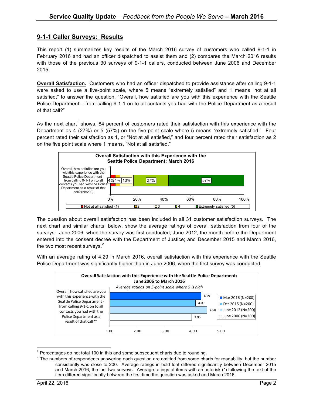## **9-1-1 Caller Surveys: Results**

This report (1) summarizes key results of the March 2016 survey of customers who called 9-1-1 in February 2016 and had an officer dispatched to assist them and (2) compares the March 2016 results with those of the previous 30 surveys of 9-1-1 callers, conducted between June 2006 and December 2015.

**Overall Satisfaction.** Customers who had an officer dispatched to provide assistance after calling 9-1-1 were asked to use a five-point scale, where 5 means "extremely satisfied" and 1 means "not at all satisfied," to answer the question, "Overall, how satisfied are you with this experience with the Seattle Police Department – from calling 9-1-1 on to all contacts you had with the Police Department as a result of that call?"

As the next chart<sup>1</sup> shows, 84 percent of customers rated their satisfaction with this experience with the Department as 4 (27%) or 5 (57%) on the five-point scale where 5 means "extremely satisfied." Four percent rated their satisfaction as 1, or "Not at all satisfied," and four percent rated their satisfaction as 2 on the five point scale where 1 means, "Not at all satisfied."



The question about overall satisfaction has been included in all 31 customer satisfaction surveys. The next chart and similar charts, below, show the average ratings of overall satisfaction from four of the surveys: June 2006, when the survey was first conducted; June 2012, the month before the Department entered into the consent decree with the Department of Justice; and December 2015 and March 2016, the two most recent surveys. $2$ 

With an average rating of 4.29 in March 2016, overall satisfaction with this experience with the Seattle Police Department was significantly higher than in June 2006, when the first survey was conducted.



 $1$  Percentages do not total 100 in this and some subsequent charts due to rounding.

 $2$  The numbers of respondents answering each question are omitted from some charts for readability, but the number consistently was close to 200. Average ratings in bold font differed significantly between December 2015 and March 2016, the last two surveys. Average ratings of items with an asterisk (\*) following the text of the item differed significantly between the first time the question was asked and March 2016.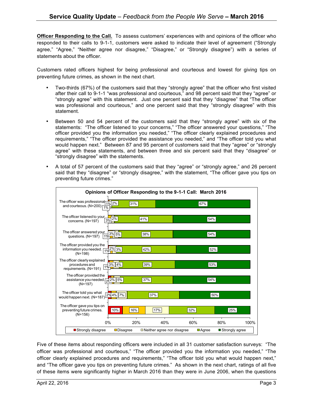**Officer Responding to the Call.** To assess customers' experiences with and opinions of the officer who responded to their calls to 9-1-1, customers were asked to indicate their level of agreement ("Strongly agree," "Agree," "Neither agree nor disagree," "Disagree," or "Strongly disagree") with a series of statements about the officer.

Customers rated officers highest for being professional and courteous and lowest for giving tips on preventing future crimes, as shown in the next chart.

- Two-thirds (67%) of the customers said that they "strongly agree" that the officer who first visited after their call to 9-1-1 "was professional and courteous," and 98 percent said that they "agree" or "strongly agree" with this statement. Just one percent said that they "disagree" that "The officer was professional and courteous," and one percent said that they "strongly disagree" with this statement.
- Between 50 and 54 percent of the customers said that they "strongly agree" with six of the statements: "The officer listened to your concerns," "The officer answered your questions," "The officer provided you the information you needed," "The officer clearly explained procedures and requirements," "The officer provided the assistance you needed," and "The officer told you what would happen next." Between 87 and 95 percent of customers said that they "agree" or "strongly agree" with these statements, and between three and six percent said that they "disagree" or "strongly disagree" with the statements.
- A total of 57 percent of the customers said that they "agree" or "strongly agree," and 26 percent said that they "disagree" or "strongly disagree," with the statement, "The officer gave you tips on preventing future crimes."



Five of these items about responding officers were included in all 31 customer satisfaction surveys: "The officer was professional and courteous," "The officer provided you the information you needed," "The officer clearly explained procedures and requirements," "The officer told you what would happen next," and "The officer gave you tips on preventing future crimes." As shown in the next chart, ratings of all five of these items were significantly higher in March 2016 than they were in June 2006, when the questions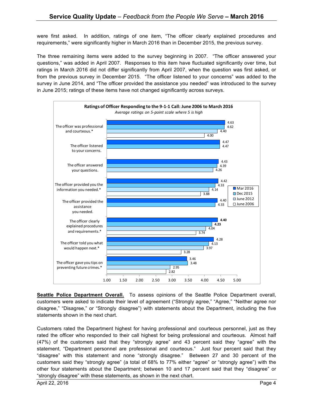were first asked. In addition, ratings of one item, "The officer clearly explained procedures and requirements," were significantly higher in March 2016 than in December 2015, the previous survey.

The three remaining items were added to the survey beginning in 2007. "The officer answered your questions," was added in April 2007. Responses to this item have fluctuated significantly over time, but ratings in March 2016 did not differ significantly from April 2007, when the question was first asked, or from the previous survey in December 2015. "The officer listened to your concerns" was added to the survey in June 2014, and "The officer provided the assistance you needed" was introduced to the survey in June 2015; ratings of these items have not changed significantly across surveys.



**Seattle Police Department Overall.** To assess opinions of the Seattle Police Department overall, customers were asked to indicate their level of agreement ("Strongly agree," "Agree," "Neither agree nor disagree," "Disagree," or "Strongly disagree") with statements about the Department, including the five statements shown in the next chart.

Customers rated the Department highest for having professional and courteous personnel, just as they rated the officer who responded to their call highest for being professional and courteous. Almost half (47%) of the customers said that they "strongly agree" and 43 percent said they "agree" with the statement, "Department personnel are professional and courteous." Just four percent said that they "disagree" with this statement and none "strongly disagree." Between 27 and 30 percent of the customers said they "strongly agree" (a total of 68% to 77% either "agree" or "strongly agree") with the other four statements about the Department; between 10 and 17 percent said that they "disagree" or "strongly disagree" with these statements, as shown in the next chart.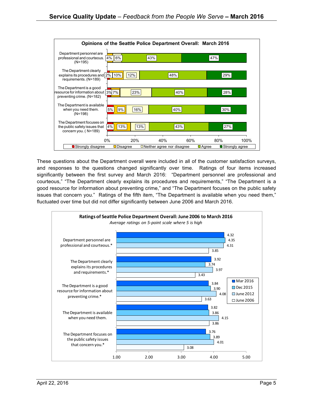

These questions about the Department overall were included in all of the customer satisfaction surveys, and responses to the questions changed significantly over time. Ratings of four items increased significantly between the first survey and March 2016: "Department personnel are professional and courteous," "The Department clearly explains its procedures and requirements," "The Department is a good resource for information about preventing crime," and "The Department focuses on the public safety issues that concern you." Ratings of the fifth item, "The Department is available when you need them," fluctuated over time but did not differ significantly between June 2006 and March 2016.

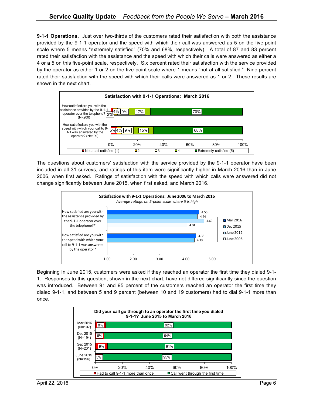**9-1-1 Operations.** Just over two-thirds of the customers rated their satisfaction with both the assistance provided by the 9-1-1 operator and the speed with which their call was answered as 5 on the five-point scale where 5 means "extremely satisfied" (70% and 68%, respectively). A total of 87 and 83 percent rated their satisfaction with the assistance and the speed with which their calls were answered as either a 4 or a 5 on this five-point scale, respectively. Six percent rated their satisfaction with the service provided by the operator as either 1 or 2 on the five-point scale where 1 means "not at all satisfied." Nine percent rated their satisfaction with the speed with which their calls were answered as 1 or 2. These results are shown in the next chart.



The questions about customers' satisfaction with the service provided by the 9-1-1 operator have been included in all 31 surveys, and ratings of this item were significantly higher in March 2016 than in June 2006, when first asked. Ratings of satisfaction with the speed with which calls were answered did not change significantly between June 2015, when first asked, and March 2016.



Beginning In June 2015, customers were asked if they reached an operator the first time they dialed 9-1- 1. Responses to this question, shown in the next chart, have not differed significantly since the question was introduced. Between 91 and 95 percent of the customers reached an operator the first time they dialed 9-1-1, and between 5 and 9 percent (between 10 and 19 customers) had to dial 9-1-1 more than once.

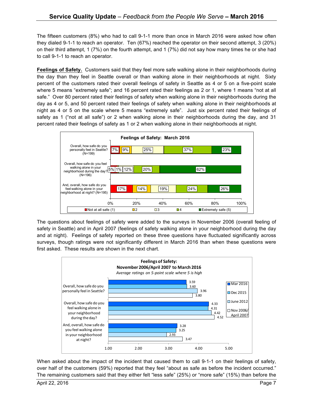The fifteen customers (8%) who had to call 9-1-1 more than once in March 2016 were asked how often they dialed 9-1-1 to reach an operator. Ten (67%) reached the operator on their second attempt, 3 (20%) on their third attempt, 1 (7%) on the fourth attempt, and 1 (7%) did not say how many times he or she had to call 9-1-1 to reach an operator.

**Feelings of Safety.** Customers said that they feel more safe walking alone in their neighborhoods during the day than they feel in Seattle overall or than walking alone in their neighborhoods at night. Sixty percent of the customers rated their overall feelings of safety in Seattle as 4 or 5 on a five-point scale where 5 means "extremely safe"; and 16 percent rated their feelings as 2 or 1, where 1 means "not at all safe." Over 80 percent rated their feelings of safety when walking alone in their neighborhoods during the day as 4 or 5, and 50 percent rated their feelings of safety when walking alone in their neighborhoods at night as 4 or 5 on the scale where 5 means "extremely safe". Just six percent rated their feelings of safety as 1 ("not at all safe") or 2 when walking alone in their neighborhoods during the day, and 31 percent rated their feelings of safety as 1 or 2 when walking alone in their neighborhoods at night.



The questions about feelings of safety were added to the surveys in November 2006 (overall feeling of safety in Seattle) and in April 2007 (feelings of safety walking alone in your neighborhood during the day and at night). Feelings of safety reported on these three questions have fluctuated significantly across surveys, though ratings were not significantly different in March 2016 than when these questions were first asked. These results are shown in the next chart.



When asked about the impact of the incident that caused them to call 9-1-1 on their feelings of safety, over half of the customers (59%) reported that they feel "about as safe as before the incident occurred." The remaining customers said that they either felt "less safe" (25%) or "more safe" (15%) than before the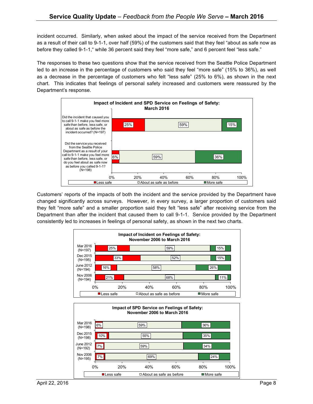incident occurred. Similarly, when asked about the impact of the service received from the Department as a result of their call to 9-1-1, over half (59%) of the customers said that they feel "about as safe now as before they called 9-1-1," while 36 percent said they feel "more safe," and 6 percent feel "less safe."

The responses to these two questions show that the service received from the Seattle Police Department led to an increase in the percentage of customers who said they feel "more safe" (15% to 36%), as well as a decrease in the percentage of customers who felt "less safe" (25% to 6%), as shown in the next chart. This indicates that feelings of personal safety increased and customers were reassured by the Department's response.



Customers' reports of the impacts of both the incident and the service provided by the Department have changed significantly across surveys. However, in every survey, a larger proportion of customers said they felt "more safe" and a smaller proportion said they felt "less safe" after receiving service from the Department than after the incident that caused them to call 9-1-1. Service provided by the Department consistently led to increases in feelings of personal safety, as shown in the next two charts.